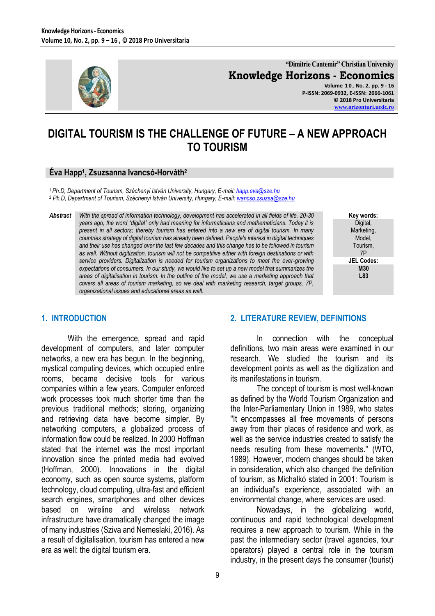

**"Dimitrie Cantemir" Christian University Knowledge Horizons - Economics**

**Volume 1 0 , No. 2, pp. 9 - 16 P-ISSN: 2069-0932, E-ISSN: 2066-1061 © 2018 Pro Universitaria [www.orizonturi.ucdc.ro](http://www.orizonturi.ucdc.ro/)**

# **DIGITAL TOURISM IS THE CHALLENGE OF FUTURE – A NEW APPROACH TO TOURISM**

### **Éva Happ<sup>1</sup> , Zsuzsanna Ivancsó-Horváth<sup>2</sup>**

<sup>1</sup>*Ph.D, Department of Tourism, Széchenyi István University, Hungary, E-mail[: happ.eva@sze.hu](mailto:happ.eva@sze.hu)* <sup>2</sup> *Ph.D, Department of Tourism, Széchenyi István University, Hungary, E-mail[: ivancso.zsuzsa@sze.hu](mailto:ivancso.zsuzsa@sze.hu)*

*Abstract With the spread of information technology, development has accelerated in all fields of life. 20-30 years ago, the word "digital" only had meaning for informaticians and mathematicians. Today it is present in all sectors; thereby tourism has entered into a new era of digital tourism. In many countries strategy of digital tourism has already been defined. People's interest in digital techniques and their use has changed over the last few decades and this change has to be followed in tourism as well. Without digitization, tourism will not be competitive either with foreign destinations or with service providers. Digitalization is needed for tourism organizations to meet the ever-growing expectations of consumers. In our study, we would like to set up a new model that summarizes the areas of digitalisation in tourism. In the outline of the model, we use a marketing approach that covers all areas of tourism marketing, so we deal with marketing research, target groups, 7P, organizational issues and educational areas as well.*



### **1. INTRODUCTION**

With the emergence, spread and rapid development of computers, and later computer networks, a new era has begun. In the beginning, mystical computing devices, which occupied entire rooms, became decisive tools for various companies within a few years. Computer enforced work processes took much shorter time than the previous traditional methods; storing, organizing and retrieving data have become simpler. By networking computers, a globalized process of information flow could be realized. In 2000 Hoffman stated that the internet was the most important innovation since the printed media had evolved (Hoffman, 2000). Innovations in the digital economy, such as open source systems, platform technology, cloud computing, ultra-fast and efficient search engines, smartphones and other devices based on wireline and wireless network infrastructure have dramatically changed the image of many industries (Sziva and Nemeslaki, 2016). As a result of digitalisation, tourism has entered a new era as well: the digital tourism era.

### **2. LITERATURE REVIEW, DEFINITIONS**

In connection with the conceptual definitions, two main areas were examined in our research. We studied the tourism and its development points as well as the digitization and its manifestations in tourism.

The concept of tourism is most well-known as defined by the World Tourism Organization and the Inter-Parliamentary Union in 1989, who states "It encompasses all free movements of persons away from their places of residence and work, as well as the service industries created to satisfy the needs resulting from these movements." (WTO, 1989). However, modern changes should be taken in consideration, which also changed the definition of tourism, as Michalkó stated in 2001: Tourism is an individual's experience, associated with an environmental change, where services are used.

Nowadays, in the globalizing world, continuous and rapid technological development requires a new approach to tourism. While in the past the intermediary sector (travel agencies, tour operators) played a central role in the tourism industry, in the present days the consumer (tourist)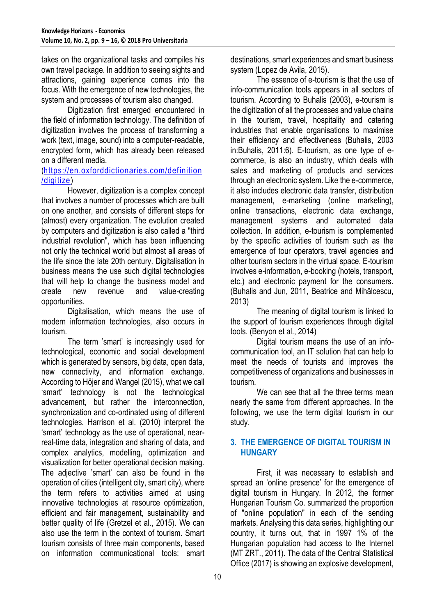takes on the organizational tasks and compiles his own travel package. In addition to seeing sights and attractions, gaining experience comes into the focus. With the emergence of new technologies, the system and processes of tourism also changed.

Digitization first emerged encountered in the field of information technology. The definition of digitization involves the process of transforming a work (text, image, sound) into a computer-readable, encrypted form, which has already been released on a different media.

### [\(https://en.oxforddictionaries.com/definition](https://en.oxforddictionaries.com/definition/digitize) [/digitize\)](https://en.oxforddictionaries.com/definition/digitize)

However, digitization is a complex concept that involves a number of processes which are built on one another, and consists of different steps for (almost) every organization. The evolution created by computers and digitization is also called a "third industrial revolution", which has been influencing not only the technical world but almost all areas of the life since the late 20th century. Digitalisation in business means the use such digital technologies that will help to change the business model and create new revenue and value-creating opportunities.

Digitalisation, which means the use of modern information technologies, also occurs in tourism.

The term 'smart' is increasingly used for technological, economic and social development which is generated by sensors, big data, open data, new connectivity, and information exchange. According to Höjer and Wangel (2015), what we call 'smart' technology is not the technological advancement, but rather the interconnection, synchronization and co-ordinated using of different technologies. Harrison et al. (2010) interpret the 'smart' technology as the use of operational, nearreal-time data, integration and sharing of data, and complex analytics, modelling, optimization and visualization for better operational decision making. The adjective 'smart' can also be found in the operation of cities (intelligent city, smart city), where the term refers to activities aimed at using innovative technologies at resource optimization, efficient and fair management, sustainability and better quality of life (Gretzel et al., 2015). We can also use the term in the context of tourism. Smart tourism consists of three main components, based on information communicational tools: smart

destinations, smart experiences and smart business system (Lopez de Avila, 2015).

The essence of e-tourism is that the use of info-communication tools appears in all sectors of tourism. According to Buhalis (2003), e-tourism is the digitization of all the processes and value chains in the tourism, travel, hospitality and catering industries that enable organisations to maximise their efficiency and effectiveness (Buhalis, 2003 in:Buhalis, 2011:6). E-tourism, as one type of ecommerce, is also an industry, which deals with sales and marketing of products and services through an electronic system. Like the e-commerce, it also includes electronic data transfer, distribution management, e-marketing (online marketing), online transactions, electronic data exchange, management systems and automated data collection. In addition, e-tourism is complemented by the specific activities of tourism such as the emergence of tour operators, travel agencies and other tourism sectors in the virtual space. E-tourism involves e-information, e-booking (hotels, transport, etc.) and electronic payment for the consumers. (Buhalis and Jun, 2011, Beatrice and Mihãlcescu, 2013)

The meaning of digital tourism is linked to the support of tourism experiences through digital tools. (Benyon et al., 2014)

Digital tourism means the use of an infocommunication tool, an IT solution that can help to meet the needs of tourists and improves the competitiveness of organizations and businesses in tourism.

We can see that all the three terms mean nearly the same from different approaches. In the following, we use the term digital tourism in our study.

### **3. THE EMERGENCE OF DIGITAL TOURISM IN HUNGARY**

First, it was necessary to establish and spread an 'online presence' for the emergence of digital tourism in Hungary. In 2012, the former Hungarian Tourism Co. summarized the proportion of "online population" in each of the sending markets. Analysing this data series, highlighting our country, it turns out, that in 1997 1% of the Hungarian population had access to the Internet (MT ZRT., 2011). The data of the Central Statistical Office (2017) is showing an explosive development,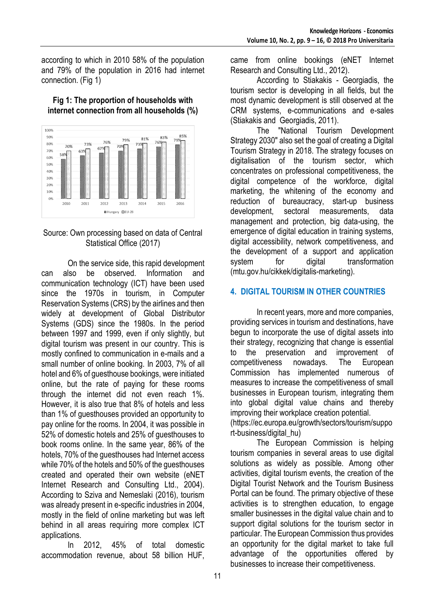according to which in 2010 58% of the population and 79% of the population in 2016 had internet connection. (Fig 1)



#### **Fig 1: The proportion of households with internet connection from all households (%)**

### Source: Own processing based on data of Central Statistical Office (2017)

On the service side, this rapid development can also be observed. Information and communication technology (ICT) have been used since the 1970s in tourism, in Computer Reservation Systems (CRS) by the airlines and then widely at development of Global Distributor Systems (GDS) since the 1980s. In the period between 1997 and 1999, even if only slightly, but digital tourism was present in our country. This is mostly confined to communication in e-mails and a small number of online booking. In 2003, 7% of all hotel and 6% of guesthouse bookings, were initiated online, but the rate of paying for these rooms through the internet did not even reach 1%. However, it is also true that 8% of hotels and less than 1% of guesthouses provided an opportunity to pay online for the rooms. In 2004, it was possible in 52% of domestic hotels and 25% of guesthouses to book rooms online. In the same year, 86% of the hotels, 70% of the guesthouses had Internet access while 70% of the hotels and 50% of the guesthouses created and operated their own website (eNET Internet Research and Consulting Ltd., 2004). According to Sziva and Nemeslaki (2016), tourism was already present in e-specific industries in 2004, mostly in the field of online marketing but was left behind in all areas requiring more complex ICT applications.

In 2012, 45% of total domestic accommodation revenue, about 58 billion HUF, came from online bookings (eNET Internet Research and Consulting Ltd., 2012).

According to Stiakakis - Georgiadis, the tourism sector is developing in all fields, but the most dynamic development is still observed at the CRM systems, e-communications and e-sales (Stiakakis and Georgiadis, 2011).

The "National Tourism Development Strategy 2030" also set the goal of creating a Digital Tourism Strategy in 2018. The strategy focuses on digitalisation of the tourism sector, which concentrates on professional competitiveness, the digital competence of the workforce, digital marketing, the whitening of the economy and reduction of bureaucracy, start-up business development, sectoral measurements, data management and protection, big data-using, the emergence of digital education in training systems, digital accessibility, network competitiveness, and the development of a support and application system for digital transformation (mtu.gov.hu/cikkek/digitalis-marketing).

# **4. DIGITAL TOURISM IN OTHER COUNTRIES**

In recent years, more and more companies, providing services in tourism and destinations, have begun to incorporate the use of digital assets into their strategy, recognizing that change is essential to the preservation and improvement of competitiveness nowadays. The European Commission has implemented numerous of measures to increase the competitiveness of small businesses in European tourism, integrating them into global digital value chains and thereby improving their workplace creation potential.

(https://ec.europa.eu/growth/sectors/tourism/suppo rt-business/digital\_hu)

The European Commission is helping tourism companies in several areas to use digital solutions as widely as possible. Among other activities, digital tourism events, the creation of the Digital Tourist Network and the Tourism Business Portal can be found. The primary objective of these activities is to strengthen education, to engage smaller businesses in the digital value chain and to support digital solutions for the tourism sector in particular. The European Commission thus provides an opportunity for the digital market to take full advantage of the opportunities offered by businesses to increase their competitiveness.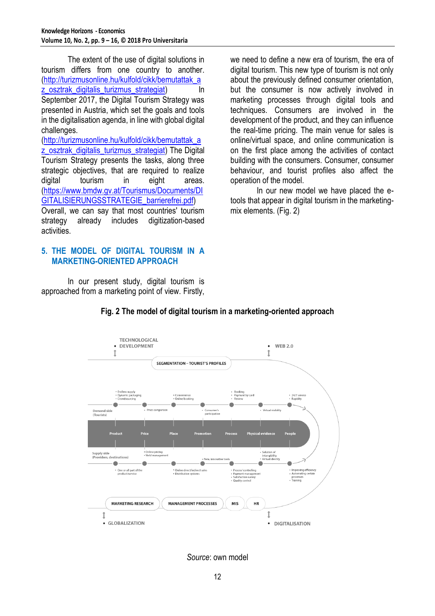The extent of the use of digital solutions in tourism differs from one country to another. [\(http://turizmusonline.hu/kulfold/cikk/bemutattak\\_a](http://turizmusonline.hu/kulfold/cikk/bemutattak_az_osztrak_digitalis_turizmus_strategiat) z osztrak digitalis turizmus strategiat) In September 2017, the Digital Tourism Strategy was presented in Austria, which set the goals and tools in the digitalisation agenda, in line with global digital challenges.

[\(http://turizmusonline.hu/kulfold/cikk/bemutattak\\_a](http://turizmusonline.hu/kulfold/cikk/bemutattak_az_osztrak_digitalis_turizmus_strategiat) z osztrak digitalis turizmus strategiat) The Digital Tourism Strategy presents the tasks, along three strategic objectives, that are required to realize digital tourism in eight areas. [\(https://www.bmdw.gv.at/Tourismus/Documents/DI](https://www.bmdw.gv.at/Tourismus/Documents/DIGITALISIERUNGSSTRATEGIE_barrierefrei.pdf) [GITALISIERUNGSSTRATEGIE\\_barrierefrei.pdf\)](https://www.bmdw.gv.at/Tourismus/Documents/DIGITALISIERUNGSSTRATEGIE_barrierefrei.pdf)

Overall, we can say that most countries' tourism strategy already includes digitization-based activities.

### **5. THE MODEL OF DIGITAL TOURISM IN A MARKETING-ORIENTED APPROACH**

In our present study, digital tourism is approached from a marketing point of view. Firstly, we need to define a new era of tourism, the era of digital tourism. This new type of tourism is not only about the previously defined consumer orientation, but the consumer is now actively involved in marketing processes through digital tools and techniques. Consumers are involved in the development of the product, and they can influence the real-time pricing. The main venue for sales is online/virtual space, and online communication is on the first place among the activities of contact building with the consumers. Consumer, consumer behaviour, and tourist profiles also affect the operation of the model.

In our new model we have placed the etools that appear in digital tourism in the marketingmix elements. (Fig. 2)



# **Fig. 2 The model of digital tourism in a marketing-oriented approach**

*Source*: own model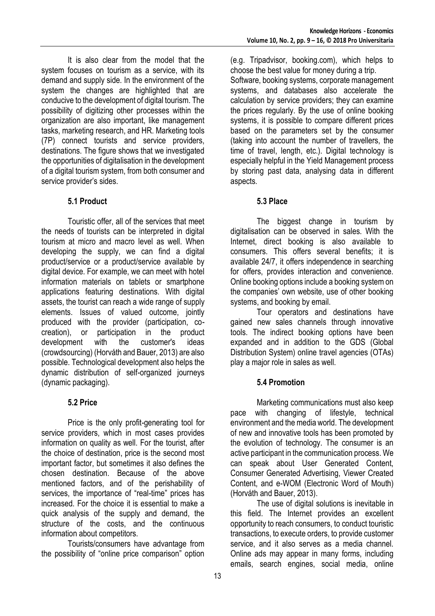It is also clear from the model that the system focuses on tourism as a service, with its demand and supply side. In the environment of the system the changes are highlighted that are conducive to the development of digital tourism. The possibility of digitizing other processes within the organization are also important, like management tasks, marketing research, and HR. Marketing tools (7P) connect tourists and service providers, destinations. The figure shows that we investigated the opportunities of digitalisation in the development of a digital tourism system, from both consumer and service provider's sides.

# **5.1 Product**

Touristic offer, all of the services that meet the needs of tourists can be interpreted in digital tourism at micro and macro level as well. When developing the supply, we can find a digital product/service or a product/service available by digital device. For example, we can meet with hotel information materials on tablets or smartphone applications featuring destinations. With digital assets, the tourist can reach a wide range of supply elements. Issues of valued outcome, jointly produced with the provider (participation, cocreation), or participation in the product development with the customer's ideas (crowdsourcing) (Horváth and Bauer, 2013) are also possible. Technological development also helps the dynamic distribution of self-organized journeys (dynamic packaging).

# **5.2 Price**

Price is the only profit-generating tool for service providers, which in most cases provides information on quality as well. For the tourist, after the choice of destination, price is the second most important factor, but sometimes it also defines the chosen destination. Because of the above mentioned factors, and of the perishability of services, the importance of "real-time" prices has increased. For the choice it is essential to make a quick analysis of the supply and demand, the structure of the costs, and the continuous information about competitors.

Tourists/consumers have advantage from the possibility of "online price comparison" option

(e.g. Tripadvisor, booking.com), which helps to choose the best value for money during a trip.

Software, booking systems, corporate management systems, and databases also accelerate the calculation by service providers; they can examine the prices regularly. By the use of online booking systems, it is possible to compare different prices based on the parameters set by the consumer (taking into account the number of travellers, the time of travel, length, etc.). Digital technology is especially helpful in the Yield Management process by storing past data, analysing data in different aspects.

### **5.3 Place**

The biggest change in tourism by digitalisation can be observed in sales. With the Internet, direct booking is also available to consumers. This offers several benefits; it is available 24/7, it offers independence in searching for offers, provides interaction and convenience. Online booking options include a booking system on the companies' own website, use of other booking systems, and booking by email.

Tour operators and destinations have gained new sales channels through innovative tools. The indirect booking options have been expanded and in addition to the GDS (Global Distribution System) online travel agencies (OTAs) play a major role in sales as well.

# **5.4 Promotion**

Marketing communications must also keep pace with changing of lifestyle, technical environment and the media world. The development of new and innovative tools has been promoted by the evolution of technology. The consumer is an active participant in the communication process. We can speak about User Generated Content, Consumer Generated Advertising, Viewer Created Content, and e-WOM (Electronic Word of Mouth) (Horváth and Bauer, 2013).

The use of digital solutions is inevitable in this field. The Internet provides an excellent opportunity to reach consumers, to conduct touristic transactions, to execute orders, to provide customer service, and it also serves as a media channel. Online ads may appear in many forms, including emails, search engines, social media, online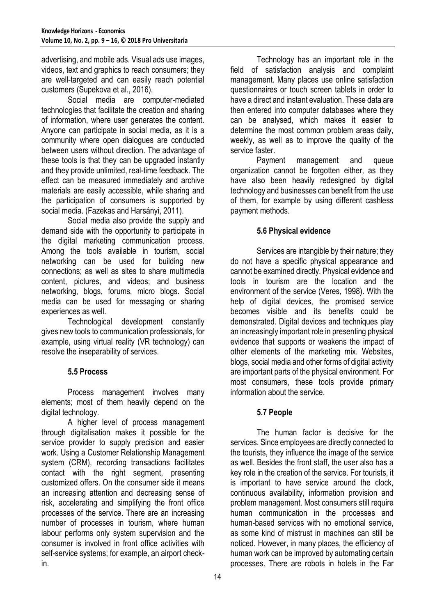advertising, and mobile ads. Visual ads use images, videos, text and graphics to reach consumers; they are well-targeted and can easily reach potential customers (Supekova et al., 2016).

Social media are computer-mediated technologies that facilitate the creation and sharing of information, where user generates the content. Anyone can participate in social media, as it is a community where open dialogues are conducted between users without direction. The advantage of these tools is that they can be upgraded instantly and they provide unlimited, real-time feedback. The effect can be measured immediately and archive materials are easily accessible, while sharing and the participation of consumers is supported by social media. (Fazekas and Harsányi, 2011).

Social media also provide the supply and demand side with the opportunity to participate in the digital marketing communication process. Among the tools available in tourism, social networking can be used for building new connections; as well as sites to share multimedia content, pictures, and videos; and business networking, blogs, forums, micro blogs. Social media can be used for messaging or sharing experiences as well.

Technological development constantly gives new tools to communication professionals, for example, using virtual reality (VR technology) can resolve the inseparability of services.

# **5.5 Process**

Process management involves many elements; most of them heavily depend on the digital technology.

A higher level of process management through digitalisation makes it possible for the service provider to supply precision and easier work. Using a Customer Relationship Management system (CRM), recording transactions facilitates contact with the right segment, presenting customized offers. On the consumer side it means an increasing attention and decreasing sense of risk, accelerating and simplifying the front office processes of the service. There are an increasing number of processes in tourism, where human labour performs only system supervision and the consumer is involved in front office activities with self-service systems; for example, an airport checkin.

Technology has an important role in the field of satisfaction analysis and complaint management. Many places use online satisfaction questionnaires or touch screen tablets in order to have a direct and instant evaluation. These data are then entered into computer databases where they can be analysed, which makes it easier to determine the most common problem areas daily, weekly, as well as to improve the quality of the service faster

Payment management and queue organization cannot be forgotten either, as they have also been heavily redesigned by digital technology and businesses can benefit from the use of them, for example by using different cashless payment methods.

### **5.6 Physical evidence**

Services are intangible by their nature; they do not have a specific physical appearance and cannot be examined directly. Physical evidence and tools in tourism are the location and the environment of the service (Veres, 1998). With the help of digital devices, the promised service becomes visible and its benefits could be demonstrated. Digital devices and techniques play an increasingly important role in presenting physical evidence that supports or weakens the impact of other elements of the marketing mix. Websites, blogs, social media and other forms of digital activity are important parts of the physical environment. For most consumers, these tools provide primary information about the service.

# **5.7 People**

The human factor is decisive for the services. Since employees are directly connected to the tourists, they influence the image of the service as well. Besides the front staff, the user also has a key role in the creation of the service. For tourists, it is important to have service around the clock, continuous availability, information provision and problem management. Most consumers still require human communication in the processes and human-based services with no emotional service, as some kind of mistrust in machines can still be noticed. However, in many places, the efficiency of human work can be improved by automating certain processes. There are robots in hotels in the Far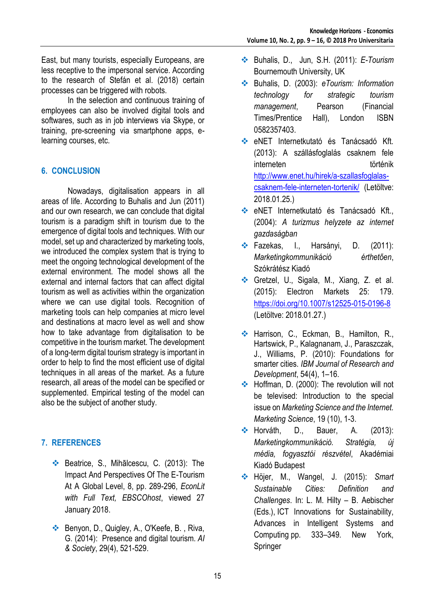East, but many tourists, especially Europeans, are less receptive to the impersonal service. According to the research of Stefán et al. (2018) certain processes can be triggered with robots.

In the selection and continuous training of employees can also be involved digital tools and softwares, such as in job interviews via Skype, or training, pre-screening via smartphone apps, elearning courses, etc.

# **6. CONCLUSION**

Nowadays, digitalisation appears in all areas of life. According to Buhalis and Jun (2011) and our own research, we can conclude that digital tourism is a paradigm shift in tourism due to the emergence of digital tools and techniques. With our model, set up and characterized by marketing tools, we introduced the complex system that is trying to meet the ongoing technological development of the external environment. The model shows all the external and internal factors that can affect digital tourism as well as activities within the organization where we can use digital tools. Recognition of marketing tools can help companies at micro level and destinations at macro level as well and show how to take advantage from digitalisation to be competitive in the tourism market. The development of a long-term digital tourism strategy is important in order to help to find the most efficient use of digital techniques in all areas of the market. As a future research, all areas of the model can be specified or supplemented. Empirical testing of the model can also be the subject of another study.

# **7. REFERENCES**

- ◆ Beatrice, S., Mihãlcescu, C. (2013): The Impact And Perspectives Of The E-Tourism At A Global Level, 8, pp. 289-296, *EconLit with Full Text, EBSCOhost*, viewed 27 January 2018.
- ◆ Benyon, D., Quigley, A., O'Keefe, B., Riva, G. (2014): Presence and digital tourism. *AI & Society*, 29(4), 521-529.
- Buhalis, D., Jun, S.H. (2011): *E-Tourism* Bournemouth University, UK
- Buhalis, D. (2003): *[eTourism: Information](http://www.amazon.co.uk/dp/0582357403?tag=dimitbuhal-21&camp=1406&creative=6394&linkCode=as1&creativeASIN=0582357403&adid=0CDVXJZEBTY8KD4BP9C4&)  [technology for strategic tourism](http://www.amazon.co.uk/dp/0582357403?tag=dimitbuhal-21&camp=1406&creative=6394&linkCode=as1&creativeASIN=0582357403&adid=0CDVXJZEBTY8KD4BP9C4&)  [management](http://www.amazon.co.uk/dp/0582357403?tag=dimitbuhal-21&camp=1406&creative=6394&linkCode=as1&creativeASIN=0582357403&adid=0CDVXJZEBTY8KD4BP9C4&)*[, Pearson \(Financial](http://www.amazon.co.uk/dp/0582357403?tag=dimitbuhal-21&camp=1406&creative=6394&linkCode=as1&creativeASIN=0582357403&adid=0CDVXJZEBTY8KD4BP9C4&)  [Times/Prentice Hall\), London](http://www.amazon.co.uk/dp/0582357403?tag=dimitbuhal-21&camp=1406&creative=6394&linkCode=as1&creativeASIN=0582357403&adid=0CDVXJZEBTY8KD4BP9C4&) ISBN [0582357403.](http://www.amazon.co.uk/dp/0582357403?tag=dimitbuhal-21&camp=1406&creative=6394&linkCode=as1&creativeASIN=0582357403&adid=0CDVXJZEBTY8KD4BP9C4&)
- eNET Internetkutató és Tanácsadó Kft. (2013): A szállásfoglalás csaknem fele interneten történik http://www.enet.hu/hirek/a-szallasfoglalascsaknem-fele-interneten-tortenik/ (Letöltve: 2018.01.25.)
- eNET Internetkutató és Tanácsadó Kft., (2004): *A turizmus helyzete az internet gazdaságban*
- Fazekas, I., Harsányi, D. (2011): *Marketingkommunikáció érthetően*, Szókrátész Kiadó
- Gretzel, U., Sigala, M., Xiang, Z. et al. (2015): Electron Markets 25: 179. <https://doi.org/10.1007/s12525-015-0196-8> (Letöltve: 2018.01.27.)
- \* Harrison, C., Eckman, B., Hamilton, R., Hartswick, P., Kalagnanam, J., Paraszczak, J., Williams, P. (2010): Foundations for smarter cities. *IBM Journal of Research and Development*, 54(4), 1–16.
- ◆ Hoffman, D. (2000): The revolution will not be televised: Introduction to the special issue on *Marketing Science and the Internet. Marketing Science*, 19 (10), 1-3.
- \* Horváth, D., Bauer, A. (2013): *Marketingkommunikáció. Stratégia, új média, fogyasztói részvétel*, Akadémiai Kiadó Budapest
- Höjer, M., Wangel, J. (2015): *Smart Sustainable Cities: Definition and Challenges*. In: L. M. Hilty – B. Aebischer (Eds.), ICT Innovations for Sustainability, Advances in Intelligent Systems and Computing pp. 333–349. New York, Springer